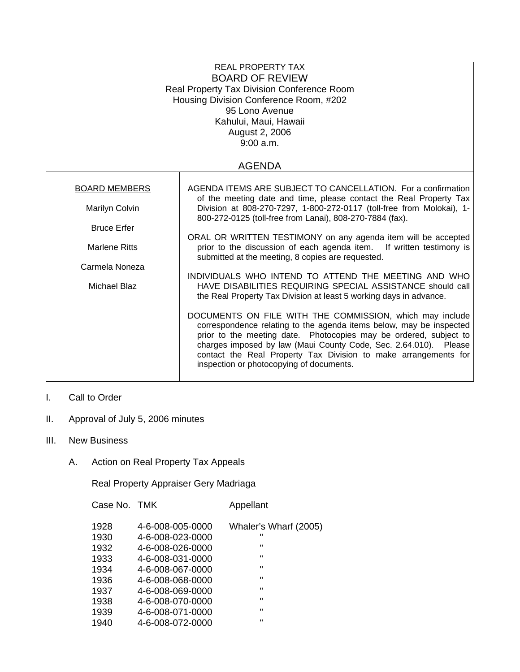| <b>REAL PROPERTY TAX</b><br><b>BOARD OF REVIEW</b><br>Real Property Tax Division Conference Room<br>Housing Division Conference Room, #202<br>95 Lono Avenue<br>Kahului, Maui, Hawaii<br>August 2, 2006<br>9:00 a.m.<br><b>AGENDA</b> |                                                                                                                                                                                                                                                                                                                                                                                         |  |  |
|---------------------------------------------------------------------------------------------------------------------------------------------------------------------------------------------------------------------------------------|-----------------------------------------------------------------------------------------------------------------------------------------------------------------------------------------------------------------------------------------------------------------------------------------------------------------------------------------------------------------------------------------|--|--|
|                                                                                                                                                                                                                                       |                                                                                                                                                                                                                                                                                                                                                                                         |  |  |
| <b>BOARD MEMBERS</b>                                                                                                                                                                                                                  | AGENDA ITEMS ARE SUBJECT TO CANCELLATION. For a confirmation<br>of the meeting date and time, please contact the Real Property Tax                                                                                                                                                                                                                                                      |  |  |
| Marilyn Colvin                                                                                                                                                                                                                        | Division at 808-270-7297, 1-800-272-0117 (toll-free from Molokai), 1-<br>800-272-0125 (toll-free from Lanai), 808-270-7884 (fax).                                                                                                                                                                                                                                                       |  |  |
| <b>Bruce Erfer</b>                                                                                                                                                                                                                    |                                                                                                                                                                                                                                                                                                                                                                                         |  |  |
| <b>Marlene Ritts</b>                                                                                                                                                                                                                  | ORAL OR WRITTEN TESTIMONY on any agenda item will be accepted<br>prior to the discussion of each agenda item. If written testimony is<br>submitted at the meeting, 8 copies are requested.                                                                                                                                                                                              |  |  |
| Carmela Noneza                                                                                                                                                                                                                        |                                                                                                                                                                                                                                                                                                                                                                                         |  |  |
| Michael Blaz                                                                                                                                                                                                                          | INDIVIDUALS WHO INTEND TO ATTEND THE MEETING AND WHO<br>HAVE DISABILITIES REQUIRING SPECIAL ASSISTANCE should call<br>the Real Property Tax Division at least 5 working days in advance.                                                                                                                                                                                                |  |  |
|                                                                                                                                                                                                                                       | DOCUMENTS ON FILE WITH THE COMMISSION, which may include<br>correspondence relating to the agenda items below, may be inspected<br>prior to the meeting date. Photocopies may be ordered, subject to<br>charges imposed by law (Maui County Code, Sec. 2.64.010). Please<br>contact the Real Property Tax Division to make arrangements for<br>inspection or photocopying of documents. |  |  |

- I. Call to Order
- II. Approval of July 5, 2006 minutes
- III. New Business
	- A. Action on Real Property Tax Appeals

Real Property Appraiser Gery Madriaga

Case No. TMK Appellant

| 1928 | 4-6-008-005-0000 | Whaler's Wharf (2005) |
|------|------------------|-----------------------|
| 1930 | 4-6-008-023-0000 | $\mathbf{H}$          |
| 1932 | 4-6-008-026-0000 | $\mathbf{H}$          |
| 1933 | 4-6-008-031-0000 | $\mathbf{H}$          |
| 1934 | 4-6-008-067-0000 | $\mathbf{u}$          |
| 1936 | 4-6-008-068-0000 | $\mathbf{H}$          |
| 1937 | 4-6-008-069-0000 | $\mathbf{u}$          |
| 1938 | 4-6-008-070-0000 | $\mathbf{H}$          |
| 1939 | 4-6-008-071-0000 | $\mathbf{H}$          |
| 1940 | 4-6-008-072-0000 | $\mathbf{u}$          |
|      |                  |                       |